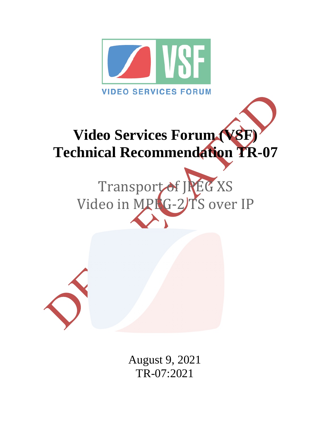

# **Video Services Forum (VSF) Technical Recommendation TR-07**

Transport of JREG XS Video in MPLG-2)TS over IP



August 9, 2021 TR-07:2021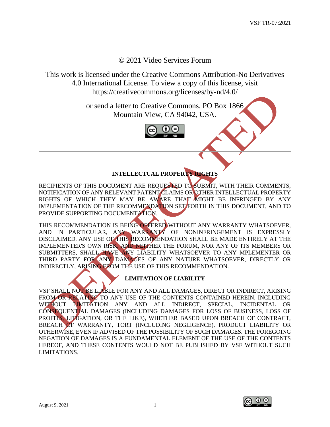© 2021 Video Services Forum

This work is licensed under the Creative Commons Attribution-No Derivatives 4.0 International License. To view a copy of this license, visit https://creativecommons.org/licenses/by-nd/4.0/

> or send a letter to Creative Commons, PO Box 1866 Mountain View, CA 94042, USA.



# **INTELLECTUAL PROPERTY RIGHTS**

RECIPIENTS OF THIS DOCUMENT ARE REQUESTED TO SUBMIT, WITH THEIR COMMENTS, NOTIFICATION OF ANY RELEVANT PATENT CLAIMS OR OTHER INTELLECTUAL PROPERTY RIGHTS OF WHICH THEY MAY BE AWARE THAT MIGHT BE INFRINGED BY ANY IMPLEMENTATION OF THE RECOMMENDATION SET FORTH IN THIS DOCUMENT, AND TO PROVIDE SUPPORTING DOCUMENTATION.

THIS RECOMMENDATION IS BEING OFFERED WITHOUT ANY WARRANTY WHATSOEVER, AND IN PARTICULAR, ANY WARRANTY OF NONINFRINGEMENT IS EXPRESSLY DISCLAIMED. ANY USE OF THIS RECOMMENDATION SHALL BE MADE ENTIRELY AT THE IMPLEMENTER'S OWN RISK, AND NEITHER THE FORUM, NOR ANY OF ITS MEMBERS OR SUBMITTERS, SHALL HAVE ANY LIABILITY WHATSOEVER TO ANY MPLEMENTER OR THIRD PARTY FOR ANY DAMAGES OF ANY NATURE WHATSOEVER, DIRECTLY OR INDIRECTLY, ARISING FROM THE USE OF THIS RECOMMENDATION.

# **LIMITATION OF LIABILITY**

VSF SHALL NOT BE LIABLE FOR ANY AND ALL DAMAGES, DIRECT OR INDIRECT, ARISING FROM OR RELATING TO ANY USE OF THE CONTENTS CONTAINED HEREIN, INCLUDING WITHOUT LIMITATION ANY AND ALL INDIRECT, SPECIAL, INCIDENTAL OR CONSEQUENTIAL DAMAGES (INCLUDING DAMAGES FOR LOSS OF BUSINESS, LOSS OF PROFITS, LITIGATION, OR THE LIKE), WHETHER BASED UPON BREACH OF CONTRACT, BREACH OF WARRANTY, TORT (INCLUDING NEGLIGENCE), PRODUCT LIABILITY OR OTHERWISE, EVEN IF ADVISED OF THE POSSIBILITY OF SUCH DAMAGES. THE FOREGOING NEGATION OF DAMAGES IS A FUNDAMENTAL ELEMENT OF THE USE OF THE CONTENTS HEREOF, AND THESE CONTENTS WOULD NOT BE PUBLISHED BY VSF WITHOUT SUCH LIMITATIONS.

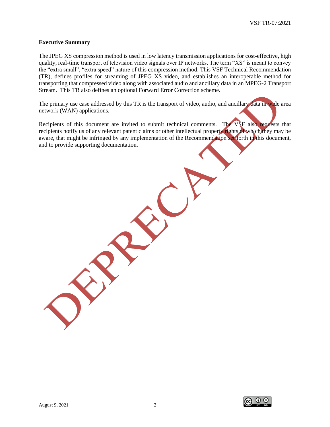#### **Executive Summary**

The JPEG XS compression method is used in low latency transmission applications for cost-effective, high quality, real-time transport of television video signals over IP networks. The term "XS" is meant to convey the "extra small", "extra speed" nature of this compression method. This VSF Technical Recommendation (TR), defines profiles for streaming of JPEG XS video, and establishes an interoperable method for transporting that compressed video along with associated audio and ancillary data in an MPEG-2 Transport Stream. This TR also defines an optional Forward Error Correction scheme.

The primary use case addressed by this TR is the transport of video, audio, and ancillary data in wide area network (WAN) applications.

Recipients of this document are invited to submit technical comments. The VSF also requests that recipients notify us of any relevant patent claims or other intellectual property rights of which they may be aware, that might be infringed by any implementation of the Recommendation set forth in this document, and to provide supporting documentation.

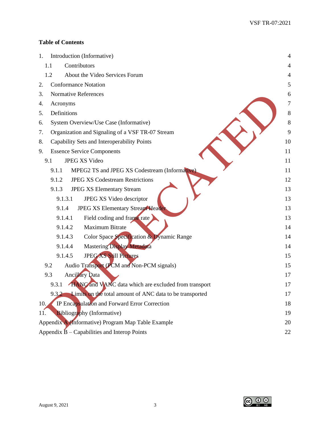## **Table of Contents**

| 1.  | Introduction (Informative)                                           | $\overline{4}$ |
|-----|----------------------------------------------------------------------|----------------|
|     | Contributors<br>1.1                                                  | $\overline{4}$ |
|     | About the Video Services Forum<br>1.2                                | $\overline{4}$ |
| 2.  | <b>Conformance Notation</b>                                          | 5              |
| 3.  | Normative References                                                 | 6              |
| 4.  | Acronyms                                                             | 7              |
| 5.  | Definitions                                                          | $\,8\,$        |
| 6.  | System Overview/Use Case (Informative)                               | $\,8\,$        |
| 7.  | Organization and Signaling of a VSF TR-07 Stream                     | 9              |
| 8.  | Capability Sets and Interoperability Points                          | 10             |
| 9.  | <b>Essence Service Components</b>                                    | 11             |
|     | <b>JPEG XS Video</b><br>9.1                                          | 11             |
|     | MPEG2 TS and JPEG XS Codestream (Informative).<br>9.1.1              | 11             |
|     | <b>JPEG XS Codestream Restrictions</b><br>9.1.2                      | 12             |
|     | 9.1.3<br><b>JPEG XS Elementary Stream</b>                            | 13             |
|     | JPEG XS Video descriptor<br>9.1.3.1                                  | 13             |
|     | JPEG XS Elementary Stream Header<br>9.1.4                            | 13             |
|     | Field coding and frame rate<br>9.1.4.1                               | 13             |
|     | <b>Maximum Bitrate</b><br>9.1.4.2                                    | 14             |
|     | Color Space Specification & Dynamic Range<br>9.1.4.3                 | 14             |
|     | <b>Mastering Display Metadata</b><br>9.1.4.4                         | 14             |
|     | <b>JPEG XS Still Pictures</b><br>9.1.4.5                             | 15             |
|     | Audio Transport (PCM and Non-PCM signals)<br>9.2                     | 15             |
|     | <b>Ancillary Data</b><br>9.3                                         | 17             |
|     | <b>HANC</b> and VANC data which are excluded from transport<br>9.3.1 | 17             |
|     | 9.3.2 Limits on the total amount of ANC data to be transported       | 17             |
| 10. | IP Encapsulation and Forward Error Correction                        | 18             |
| 11. | Bibliography (Informative)                                           | 19             |
|     | Appendix A (Informative) Program Map Table Example                   | 20             |
|     | Appendix $\hat{B}$ – Capabilities and Interop Points                 | 22             |

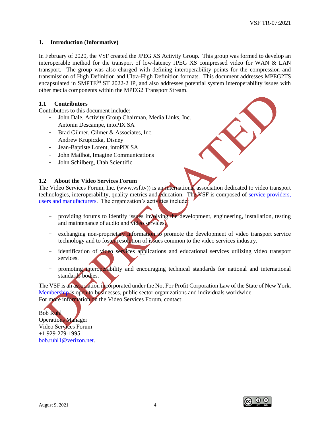#### <span id="page-4-0"></span>**1. Introduction (Informative)**

In February of 2020, the VSF created the JPEG XS Activity Group. This group was formed to develop an interoperable method for the transport of low-latency JPEG XS compressed video for WAN & LAN transport. The group was also charged with defining interoperability points for the compression and transmission of High Definition and Ultra-High Definition formats. This document addresses MPEG2TS encapsulated in SMPTE<sup>(c)</sup> ST 2022-2 IP, and also addresses potential system interoperability issues with other media components within the MPEG2 Transport Stream.

#### <span id="page-4-1"></span>**1.1 Contributors**

Contributors to this document include:

- − John Dale, Activity Group Chairman, Media Links, Inc.
- − Antonin Descampe, intoPIX SA
- − Brad Gilmer, Gilmer & Associates, Inc.
- − Andrew Krupiczka, Disney
- − Jean-Baptiste Lorent, intoPIX SA
- − John Mailhot, Imagine Communications
- − John Schilberg, Utah Scientific

#### <span id="page-4-2"></span>**1.2 About the Video Services Forum**

The Video Services Forum, Inc. (www.vsf.tv)) is an international association dedicated to video transport technologies, interoperability, quality metrics and education. The VSF is composed of service providers, [users and manufacturers.](http://www.videoservicesforum.org/members/members.htm) The organization's activities include:

- providing forums to identify issues involving the development, engineering, installation, testing and maintenance of audio and video services.
- − exchanging non-proprietary information to promote the development of video transport service technology and to foster resolution of issues common to the video services industry.
- − identification of video services applications and educational services utilizing video transport services.
- − promoting interoperability and encouraging technical standards for national and international standards bodies.

The VSF is an association incorporated under the Not For Profit Corporation Law of the State of New York. [Membership](http://www.videoservicesforum.org/membership/membership.htm) is open to businesses, public sector organizations and individuals worldwide. For more information on the Video Services Forum, contact:

Bob Ruhl Operations Manager Video Services Forum +1 929-279-1995 [bob.ruhl1@verizon.net.](mailto:bob.ruhl1@verizon.net)

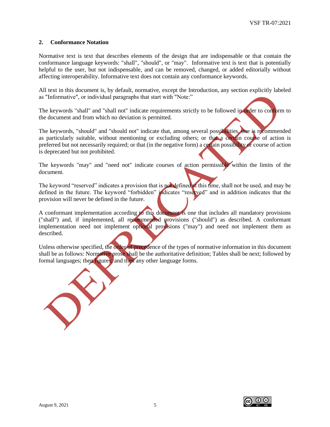#### <span id="page-5-0"></span>**2. Conformance Notation**

Normative text is text that describes elements of the design that are indispensable or that contain the conformance language keywords: "shall", "should", or "may". Informative text is text that is potentially helpful to the user, but not indispensable, and can be removed, changed, or added editorially without affecting interoperability. Informative text does not contain any conformance keywords.

All text in this document is, by default, normative, except the Introduction, any section explicitly labeled as "Informative", or individual paragraphs that start with "Note:"

The keywords "shall" and "shall not" indicate requirements strictly to be followed in order to conform to the document and from which no deviation is permitted.

The keywords, "should" and "should not" indicate that, among several possibilities, one is recommended as particularly suitable, without mentioning or excluding others; or that a certain course of action is preferred but not necessarily required; or that (in the negative form) a certain possibility or course of action is deprecated but not prohibited.

The keywords "may" and "need not" indicate courses of action permissible within the limits of the document.

The keyword "reserved" indicates a provision that is not defined at this time, shall not be used, and may be defined in the future. The keyword "forbidden" indicates "reserved" and in addition indicates that the provision will never be defined in the future.

A conformant implementation according to this document is one that includes all mandatory provisions ("shall") and, if implemented, all recommended provisions ("should") as described. A conformant implementation need not implement optional provisions ("may") and need not implement them as described.

Unless otherwise specified, the order of precedence of the types of normative information in this document shall be as follows: Normative prose shall be the authoritative definition; Tables shall be next; followed by formal languages; then figures; and then any other language forms.



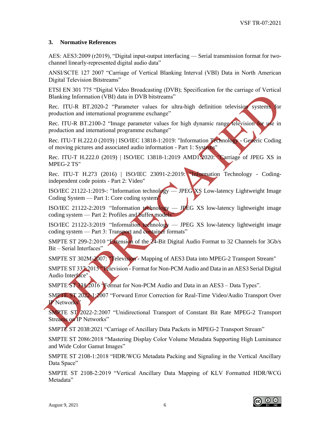#### <span id="page-6-0"></span>**3. Normative References**

AES: AES3:2009 (r2019), "Digital input-output interfacing — Serial transmission format for twochannel linearly-represented digital audio data"

ANSI/SCTE 127 2007 "Carriage of Vertical Blanking Interval (VBI) Data in North American Digital Television Bitstreams"

ETSI EN 301 775 "Digital Video Broadcasting (DVB); Specification for the carriage of Vertical Blanking Information (VBI) data in DVB bitstreams"

Rec. ITU-R BT.2020-2 "Parameter values for ultra-high definition television systems for production and international programme exchange"

Rec. ITU-R BT.2100-2 "Image parameter values for high dynamic range television for use in production and international programme exchange"

Rec. ITU-T H.222.0 (2019) | ISO/IEC 13818-1:2019: "Information Technology - Generic Coding of moving pictures and associated audio information - Part 1: Systems"

Rec. ITU-T H.222.0 (2019) | ISO/IEC 13818-1:2019 AMD1:2020: "Carriage of JPEG XS in MPEG-2 TS"

Rec. ITU-T H.273 (2016) | ISO/IEC 23091-2:2019: "Information Technology - Codingindependent code points - Part 2: Video"

ISO/IEC 21122-1:2019-: "Information technology — JPEG XS Low-latency Lightweight Image Coding System — Part 1: Core coding system"

ISO/IEC 21122-2:2019 "Information technology — JPEG XS low-latency lightweight image coding system — Part 2: Profiles and buffer models"

ISO/IEC 21122-3:2019 "Information technology — JPEG XS low-latency lightweight image coding system — Part 3: Transport and container formats"

SMPTE ST 299-2:2010 "Extension of the 24-Bit Digital Audio Format to 32 Channels for 3Gb/s Bit – Serial Interfaces"

SMPTE ST 302M-2007: "Television - Mapping of AES3 Data into MPEG-2 Transport Stream"

SMPTE ST 337:2015 "Television - Format for Non-PCM Audio and Data in an AES3 Serial Digital Audio Interface"

SMPTE ST 338:2016 "Format for Non-PCM Audio and Data in an AES3 – Data Types".

SMPTE ST 2022-1:2007 "Forward Error Correction for Real-Time Video/Audio Transport Over IP Networks"

SMPTE ST 2022-2:2007 "Unidirectional Transport of Constant Bit Rate MPEG-2 Transport Streams on IP Networks"

SMPTE ST 2038:2021 "Carriage of Ancillary Data Packets in MPEG-2 Transport Stream"

SMPTE ST 2086:2018 "Mastering Display Color Volume Metadata Supporting High Luminance and Wide Color Gamut Images"

SMPTE ST 2108-1:2018 "HDR/WCG Metadata Packing and Signaling in the Vertical Ancillary Data Space"

SMPTE ST 2108-2:2019 "Vertical Ancillary Data Mapping of KLV Formatted HDR/WCG Metadata"

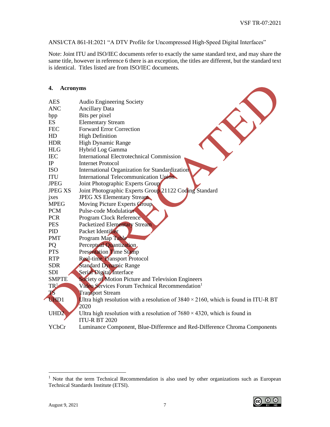ANSI/CTA 861-H:2021 "A DTV Profile for Uncompressed High-Speed Digital Interfaces"

Note: Joint ITU and ISO/IEC documents refer to exactly the same standard text, and may share the same title, however in reference 6 there is an exception, the titles are different, but the standard text is identical. Titles listed are from ISO/IEC documents.

#### <span id="page-7-0"></span>**4. Acronyms**

| <b>AES</b>       | <b>Audio Engineering Society</b>                                                           |
|------------------|--------------------------------------------------------------------------------------------|
| <b>ANC</b>       | <b>Ancillary Data</b>                                                                      |
| bpp              | Bits per pixel                                                                             |
| <b>ES</b>        | <b>Elementary Stream</b>                                                                   |
| <b>FEC</b>       | <b>Forward Error Correction</b>                                                            |
| HD               | <b>High Definition</b>                                                                     |
| <b>HDR</b>       | <b>High Dynamic Range</b>                                                                  |
| <b>HLG</b>       | Hybrid Log Gamma                                                                           |
| <b>IEC</b>       | <b>International Electrotechnical Commission</b>                                           |
| IP               | <b>Internet Protocol</b>                                                                   |
| <b>ISO</b>       | International Organization for Standardization                                             |
| <b>ITU</b>       | International Telecommunication Union                                                      |
| <b>JPEG</b>      | Joint Photographic Experts Group                                                           |
| <b>JPEG XS</b>   | Joint Photographic Experts Group 21122 Coding Standard                                     |
| jxes             | <b>JPEG XS Elementary Stream</b>                                                           |
| <b>MPEG</b>      | Moving Picture Experts Group                                                               |
| <b>PCM</b>       | Pulse-code Modulation                                                                      |
| <b>PCR</b>       | <b>Program Clock Reference</b>                                                             |
| <b>PES</b>       | <b>Packetized Elementary Stream</b>                                                        |
| PID              | Packet Identifier                                                                          |
| <b>PMT</b>       | Program Map Table                                                                          |
| PQ               | Perceptual Quantization                                                                    |
| <b>PTS</b>       | <b>Presentation Time Stamp</b>                                                             |
| <b>RTP</b>       | <b>Real-time Transport Protocol</b>                                                        |
| <b>SDR</b>       | Standard Dynamic Range                                                                     |
| <b>SDI</b>       | Serial Digital Interface                                                                   |
| <b>SMPTE</b>     | Society of Motion Picture and Television Engineers                                         |
| $TR^1$           | Video Services Forum Technical Recommendation <sup>1</sup>                                 |
| <b>TS</b>        | <b>Transport Stream</b>                                                                    |
| <b>UHD1</b>      | Ultra high resolution with a resolution of $3840 \times 2160$ , which is found in ITU-R BT |
|                  | 2020                                                                                       |
| UHD <sub>2</sub> | Ultra high resolution with a resolution of $7680 \times 4320$ , which is found in          |
|                  | <b>ITU-R BT 2020</b>                                                                       |
| YCbCr            | Luminance Component, Blue-Difference and Red-Difference Chroma Components                  |

<sup>&</sup>lt;sup>1</sup> Note that the term Technical Recommendation is also used by other organizations such as European Technical Standards Institute (ETSI).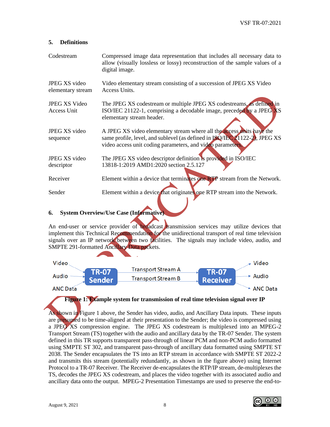#### <span id="page-8-0"></span>**5. Definitions**

| Codestream                          | Compressed image data representation that includes all necessary data to<br>allow (visually lossless or lossy) reconstruction of the sample values of a<br>digital image.                                                 |
|-------------------------------------|---------------------------------------------------------------------------------------------------------------------------------------------------------------------------------------------------------------------------|
| JPEG XS video<br>elementary stream  | Video elementary stream consisting of a succession of JPEG XS Video<br>Access Units.                                                                                                                                      |
| <b>JPEG XS Video</b><br>Access Unit | The JPEG XS codestream or multiple JPEG XS codestreams, as defined in<br>ISO/IEC 21122-1, comprising a decodable image, preceded by a JPEG XS<br>elementary stream header.                                                |
| JPEG XS video<br>sequence           | A JPEG XS video elementary stream where all the access units have the<br>same profile, level, and sublevel (as defined in <b>ISO/IEC 21122-2)</b> , JPEG XS<br>video access unit coding parameters, and video parameters. |
| JPEG XS video                       | The JPEG XS video descriptor definition is provided in ISO/IEC                                                                                                                                                            |
| descriptor                          | 13818-1:2019 AMD1:2020 section 2.5.127                                                                                                                                                                                    |
| Receiver                            | Element within a device that terminates one <b>RTP</b> stream from the Network.                                                                                                                                           |
| Sender                              | Element within a device that originates one RTP stream into the Network.                                                                                                                                                  |

#### <span id="page-8-1"></span>**6. System Overview/Use Case (Informative)**

An end-user or service provider of **broadcast** transmission services may utilize devices that implement this Technical Recommendation for the unidirectional transport of real time television signals over an IP network between two facilities. The signals may include video, audio, and SMPTE 291-formatted Ancillary Data packets.



## **Figure 1: Example system for transmission of real time television signal over IP**

As shown in Figure 1 above, the Sender has video, audio, and Ancillary Data inputs. These inputs are presumed to be time-aligned at their presentation to the Sender; the video is compressed using a JPEG XS compression engine. The JPEG XS codestream is multiplexed into an MPEG-2 Transport Stream (TS) together with the audio and ancillary data by the TR-07 Sender. The system defined in this TR supports transparent pass-through of linear PCM and non-PCM audio formatted using SMPTE ST 302, and transparent pass-through of ancillary data formatted using SMPTE ST 2038. The Sender encapsulates the TS into an RTP stream in accordance with SMPTE ST 2022-2 and transmits this stream (potentially redundantly, as shown in the figure above) using Internet Protocol to a TR-07 Receiver. The Receiver de-encapsulates the RTP/IP stream, de-multiplexes the TS, decodes the JPEG XS codestream, and places the video together with its associated audio and ancillary data onto the output. MPEG-2 Presentation Timestamps are used to preserve the end-to-

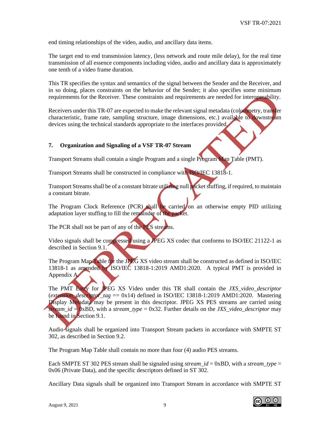end timing relationships of the video, audio, and ancillary data items.

The target end to end transmission latency, (less network and route mile delay), for the real time transmission of all essence components including video, audio and ancillary data is approximately one tenth of a video frame duration.

This TR specifies the syntax and semantics of the signal between the Sender and the Receiver, and in so doing, places constraints on the behavior of the Sender; it also specifies some minimum requirements for the Receiver. These constraints and requirements are needed for interoperability.

Receivers under this TR-07 are expected to make the relevant signal metadata (colorimetry, transfer characteristic, frame rate, sampling structure, image dimensions, etc.) available to downstream devices using the technical standards appropriate to the interfaces provided.

#### <span id="page-9-0"></span>**7. Organization and Signaling of a VSF TR-07 Stream**

Transport Streams shall contain a single Program and a single Program Map Table (PMT).

Transport Streams shall be constructed in compliance with **ISO/IEC** 13818-1.

Transport Streams shall be of a constant bitrate utilizing null packet stuffing, if required, to maintain a constant bitrate.

The Program Clock Reference (PCR) shall be carried on an otherwise empty PID utilizing adaptation layer stuffing to fill the remainder of the packet.

The PCR shall not be part of any of the **PES** streams.

Video signals shall be compressed using a JPEG XS codec that conforms to ISO/IEC 21122-1 as described in Section 9.1.

The Program Map Table for the JPEG XS video stream shall be constructed as defined in ISO/IEC 13818-1 as amended by ISO/IEC 13818-1:2019 AMD1:2020. A typical PMT is provided in Appendix A.

The PMT Entry for JPEG XS Video under this TR shall contain the *JXS\_video\_descriptor* (*extension\_descriptor\_tag* == 0x14) defined in ISO/IEC 13818-1:2019 AMD1:2020. Mastering Display Metadata may be present in this descriptor. JPEG XS PES streams are carried using *stream\_id* = 0xBD, with a *stream\_type* = 0x32. Further details on the *JXS\_video\_descriptor* may be found in Section 9.1.

Audio signals shall be organized into Transport Stream packets in accordance with SMPTE ST 302, as described in Section 9.2.

The Program Map Table shall contain no more than four (4) audio PES streams.

Each SMPTE ST 302 PES stream shall be signaled using *stream\_id* = 0xBD, with a *stream\_type* = 0x06 (Private Data), and the specific descriptors defined in ST 302.

Ancillary Data signals shall be organized into Transport Stream in accordance with SMPTE ST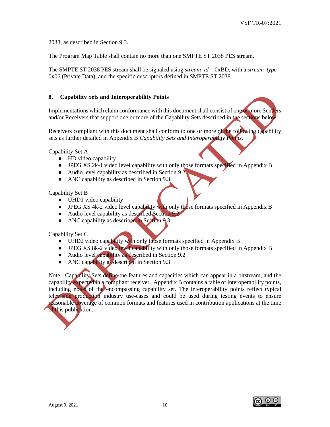2038, as described in Section 9.3.

The Program Map Table shall contain no more than one SMPTE ST 2038 PES stream.

The SMPTE ST 2038 PES stream shall be signaled using *stream*  $id = 0xBD$ , with a *stream type* = 0x06 (Private Data), and the specific descriptors defined in SMPTE ST 2038.

#### <span id="page-10-0"></span>**8. Capability Sets and Interoperability Points**

Implementations which claim conformance with this document shall consist of one or more Senders and/or Receivers that support one or more of the Capability Sets described in the sections below.

Receivers compliant with this document shall conform to one or more of the following capability sets as further detailed in Appendix B *Capability Sets and Interoperability Points*.

Capability Set A

- HD video capability
- JPEG XS 2k-1 video level capability with only those formats specified in Appendix B
- Audio level capability as described in Section 9.2
- ANC capability as described in Section 9.3

Capability Set B

- UHD1 video capability
- JPEG XS 4k-2 video level capability with only those formats specified in Appendix B
- Audio level capability as described Section 9.2
- ANC capability as described in Section 9.3

Capability Set C

- UHD2 video capability with only those formats specified in Appendix B
- JPEG XS 8k-2 video level capability with only those formats specified in Appendix B
- Audio level capability as described in Section 9.2
- ANC capability as described in Section 9.3

Note: Capability Sets define the features and capacities which can appear in a bitstream, and the capability expected in a compliant receiver. Appendix B contains a table of interoperability points, including notes of the encompassing capability set. The interoperability points reflect typical television production industry use-cases and could be used during testing events to ensure reasonable coverage of common formats and features used in contribution applications at the time of this publication.

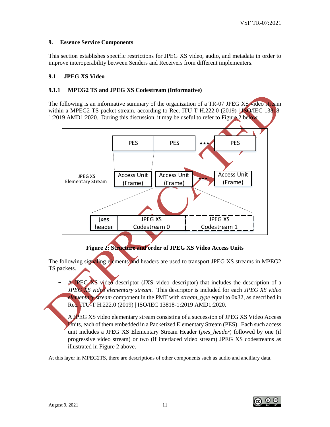#### <span id="page-11-0"></span>**9. Essence Service Components**

This section establishes specific restrictions for JPEG XS video, audio, and metadata in order to improve interoperability between Senders and Receivers from different implementers.

#### <span id="page-11-1"></span>**9.1 JPEG XS Video**

#### <span id="page-11-2"></span>**9.1.1 MPEG2 TS and JPEG XS Codestream (Informative)**

The following is an informative summary of the organization of a TR-07 JPEG XS video stream within a MPEG2 TS packet stream, according to Rec. ITU-T H.222.0 (2019)  $|$ **JSQ**/IEC 13818-1:2019 AMD1:2020. During this discussion, it may be useful to refer to Figure 2 below.



# **Figure 2: Structure and order of JPEG XS Video Access Units**

The following signaling elements and headers are used to transport JPEG XS streams in MPEG2 TS packets.

A JPEG XS video descriptor (JXS video descriptor) that includes the description of a *JPEG XS video elementary stream*. This descriptor is included for each *JPEG XS video elementary stream* component in the PMT with *stream\_type* equal to 0x32, as described in Rec. ITU-T H.222.0 (2019) | ISO/IEC 13818-1:2019 AMD1:2020.

− A JPEG XS video elementary stream consisting of a succession of JPEG XS Video Access Units, each of them embedded in a Packetized Elementary Stream (PES). Each such access unit includes a JPEG XS Elementary Stream Header (*jxes\_header*) followed by one (if progressive video stream) or two (if interlaced video stream) JPEG XS codestreams as illustrated in Figure 2 above.

At this layer in MPEG2TS, there are descriptions of other components such as audio and ancillary data.

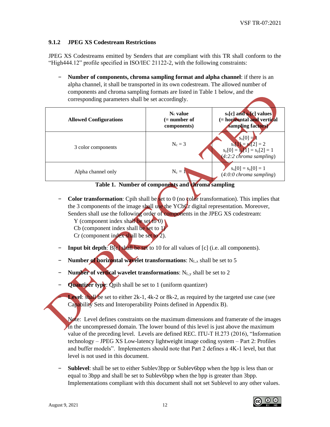#### <span id="page-12-0"></span>**9.1.2 JPEG XS Codestream Restrictions**

JPEG XS Codestreams emitted by Senders that are compliant with this TR shall conform to the "High444.12" profile specified in ISO/IEC 21122-2, with the following constraints:

− **Number of components, chroma sampling format and alpha channel**: if there is an alpha channel, it shall be transported in its own codestream. The allowed number of components and chroma sampling formats are listed in Table 1 below, and the corresponding parameters shall be set accordingly.

| <b>Allowed Configurations</b> | $N_c$ value<br>(= number of<br>components) | $s_x[c]$ and $s_y[c]$ values<br>(= horizontal and vertical<br>sampling factors)                  |
|-------------------------------|--------------------------------------------|--------------------------------------------------------------------------------------------------|
| 3 color components            | $N_c = 3$                                  | $s_x[0] =$<br>$s_x[1] = s_x[2] = 2$<br>$s_y[0] = s_y[1] = s_y[2] = 1$<br>(4:2:2 chroma sampling) |
| Alpha channel only            | $N_c = 1$                                  | $s_x[0] = s_y[0] = 1$<br>$(4:0:0$ chroma sampling)                                               |



- **Color transformation**: Cpih shall be set to 0 (no color transformation). This implies that the 3 components of the image shall use the YCbCr digital representation. Moreover, Senders shall use the following order of components in the JPEG XS codestream:
	- Y (component index shall be set to  $0$ )
	- Cb (component index shall be set to 1)
	- Cr (component index shall be set to 2).
- **Input bit depth:** B[c] shall be set to 10 for all values of [c] (i.e. all components).
- Number of horizontal wavelet transformations: N<sub>L,x</sub> shall be set to 5
- **Number of vertical wavelet transformations:** N<sub>L,y</sub> shall be set to 2
- **Quantizer type:** Qpih shall be set to 1 (uniform quantizer)

**Level: shall be set to either 2k-1, 4k-2 or 8k-2, as required by the targeted use case (see** Capability Sets and Interoperability Points defined in Appendix B).

- Note: Level defines constraints on the maximum dimensions and framerate of the images in the uncompressed domain. The lower bound of this level is just above the maximum value of the preceding level. Levels are defined REC. ITU-T H.273 (2016), "Information technology – JPEG XS Low-latency lightweight image coding system – Part 2: Profiles and buffer models". Implementers should note that Part 2 defines a 4K-1 level, but that level is not used in this document.
- − **Sublevel**: shall be set to either Sublev3bpp or Sublev6bpp when the bpp is less than or equal to 3bpp and shall be set to Sublev6bpp when the bpp is greater than 3bpp. Implementations compliant with this document shall not set Sublevel to any other values.

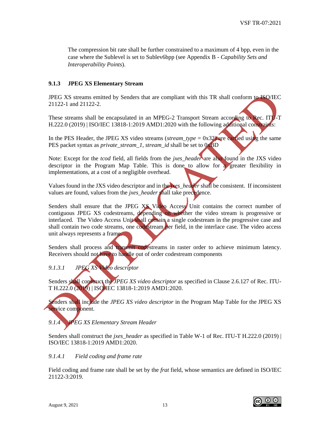The compression bit rate shall be further constrained to a maximum of 4 bpp, even in the case where the Sublevel is set to Sublev6bpp (see Appendix B - *Capability Sets and Interoperability Points*).

#### <span id="page-13-0"></span>**9.1.3 JPEG XS Elementary Stream**

JPEG XS streams emitted by Senders that are compliant with this TR shall conform to ISO/IEC 21122-1 and 21122-2.

These streams shall be encapsulated in an MPEG-2 Transport Stream according to Rec. ITU-T H.222.0 (2019) | ISO/IEC 13818-1:2019 AMD1:2020 with the following additional constraints:

In the PES Header, the JPEG XS video streams (*stream\_type* = 0x32) are carried using the same PES packet syntax as *private\_stream\_1*, *stream\_id* shall be set to 0xBD

Note: Except for the *tcod* field, all fields from the *jxes\_header* are also found in the JXS video descriptor in the Program Map Table. This is done to allow for a greater flexibility in implementations, at a cost of a negligible overhead.

Values found in the JXS video descriptor and in the *jxes\_header* shall be consistent. If inconsistent values are found, values from the *jxes\_header* shall take precedence.

Senders shall ensure that the JPEG XS Video Access Unit contains the correct number of contiguous JPEG XS codestreams, depending on whether the video stream is progressive or interlaced. The Video Access Unit shall contain a single codestream in the progressive case and shall contain two code streams, one codestream per field, in the interlace case. The video access unit always represents a frame.

Senders shall process and transmit codestreams in raster order to achieve minimum latency. Receivers should not have to handle out of order codestream components

## <span id="page-13-1"></span>*9.1.3.1 JPEG XS Video descriptor*

Senders shall construct the *JPEG XS video descriptor* as specified in Clause 2.6.127 of Rec. ITU-T H.222.0 (2019) | ISO/IEC 13818-1:2019 AMD1:2020.

Senders shall include the *JPEG XS video descriptor* in the Program Map Table for the JPEG XS service component.

# <span id="page-13-2"></span>*9.1.4 JPEG XS Elementary Stream Header*

Senders shall construct the *jxes\_header* as specified in Table W-1 of Rec. ITU-T H.222.0 (2019) | ISO/IEC 13818-1:2019 AMD1:2020.

#### <span id="page-13-3"></span>*9.1.4.1 Field coding and frame rate*

Field coding and frame rate shall be set by the *frat* field, whose semantics are defined in ISO/IEC 21122-3:2019.

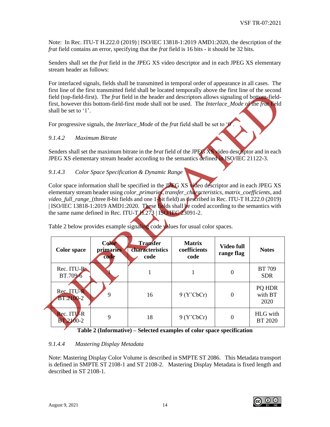Note: In Rec. ITU-T H.222.0 (2019) | ISO/IEC 13818-1:2019 AMD1:2020, the description of the *frat* field contains an error, specifying that the *frat* field is 16 bits - it should be 32 bits.

Senders shall set the *frat* field in the JPEG XS video descriptor and in each JPEG XS elementary stream header as follows:

For interlaced signals, fields shall be transmitted in temporal order of appearance in all cases. The first line of the first transmitted field shall be located temporally above the first line of the second field (top-field-first). The *frat* field in the header and descriptors allows signaling of bottom-fieldfirst, however this bottom-field-first mode shall not be used. The *Interlace\_Mode* of the *frat* field shall be set to '1'.

For progressive signals, the *Interlace\_Mode* of the *frat* field shall be set to '0

## <span id="page-14-0"></span>*9.1.4.2 Maximum Bitrate*

Senders shall set the maximum bitrate in the *brat* field of the JPEG XS video descriptor and in each JPEG XS elementary stream header according to the semantics defined in ISO/IEC 21122-3.

## <span id="page-14-1"></span>*9.1.4.3 Color Space Specification & Dynamic Range*

Color space information shall be specified in the JPEG XS video descriptor and in each JPEG XS elementary stream header using *color\_primaries*, *transfer\_characteristics*, *matrix\_coefficients*, and *video\_full\_range\_*(three 8-bit fields and one 1-bit field) as described in Rec. ITU-T H.222.0 (2019) | ISO/IEC 13818-1:2019 AMD1:2020. These fields shall be coded according to the semantics with the same name defined in Rec. ITU-T H.273 | ISO/IEC 23091-2.

| <b>Color</b> space             | <b>Color</b><br>primaries<br>code | <b>Transfer</b><br>characteristics<br>code | <b>Matrix</b><br>coefficients<br>code | <b>Video full</b><br>range flag | <b>Notes</b>                |
|--------------------------------|-----------------------------------|--------------------------------------------|---------------------------------------|---------------------------------|-----------------------------|
| Rec. ITU-R<br>BT.709-6         |                                   |                                            |                                       | 0                               | <b>BT 709</b><br><b>SDR</b> |
| Rec. ITU-R<br><b>BT.2100-2</b> | 9                                 | 16                                         | 9 (Y'CbCr)                            | $\overline{0}$                  | PQ HDR<br>with BT<br>2020   |
| Rec. ITU-R<br><b>BT.2100-2</b> | 9                                 | 18                                         | 9 (Y'CbCr)                            | 0                               | <b>HLG</b> with<br>BT 2020  |

Table 2 below provides example signaling code values for usual color spaces.

#### **Table 2 (Informative) – Selected examples of color space specification**

## <span id="page-14-2"></span>*9.1.4.4 Mastering Display Metadata*

Note: Mastering Display Color Volume is described in SMPTE ST 2086. This Metadata transport is defined in SMPTE ST 2108-1 and ST 2108-2. Mastering Display Metadata is fixed length and described in ST 2108-1.

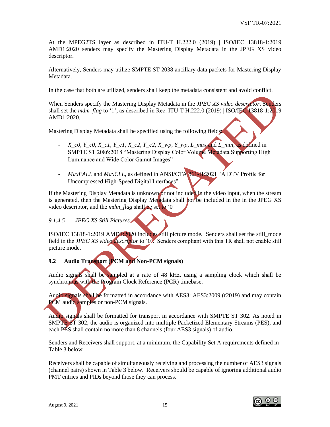At the MPEG2TS layer as described in ITU-T H.222.0 (2019) | ISO/IEC 13818-1:2019 AMD1:2020 senders may specify the Mastering Display Metadata in the JPEG XS video descriptor.

Alternatively, Senders may utilize SMPTE ST 2038 ancillary data packets for Mastering Display Metadata.

In the case that both are utilized, senders shall keep the metadata consistent and avoid conflict.

When Senders specify the Mastering Display Metadata in the *JPEG XS video descriptor*. Senders shall set the *mdm\_flag* to '1', as described in Rec. ITU-T H.222.0 (2019) | ISO/IEC 13818-1:2019 AMD1:2020.

Mastering Display Metadata shall be specified using the following fields:

- *X\_c0, Y\_c0, X\_c1, Y\_c1, X\_c2, Y\_c2, X\_wp, Y\_wp, L\_max* and *L\_min*, as defined in SMPTE ST 2086:2018 "Mastering Display Color Volume Metadata Supporting High Luminance and Wide Color Gamut Images"
- *MaxFALL* and *MaxCLL*, as defined in ANSI/CTA 861-H:2021 "A DTV Profile for Uncompressed High-Speed Digital Interfaces"

If the Mastering Display Metadata is unknown or not included in the video input, when the stream is generated, then the Mastering Display Metadata shall not be included in the in the JPEG XS video descriptor, and the *mdm\_flag* shall be set to '0

## <span id="page-15-0"></span>*9.1.4.5 JPEG XS Still Pictures*

ISO/IEC 13818-1:2019 AMD1:2020 includes still picture mode. Senders shall set the still\_mode field in the *JPEG XS video descriptor* to '0'. Senders compliant with this TR shall not enable still picture mode.

## <span id="page-15-1"></span>**9.2 Audio Transport (PCM and Non-PCM signals)**

Audio signals shall be sampled at a rate of 48 kHz, using a sampling clock which shall be synchronous with the Program Clock Reference (PCR) timebase.

Audio signals shall be formatted in accordance with AES3: AES3:2009 (r2019) and may contain PCM audio samples or non-PCM signals.

Audio signals shall be formatted for transport in accordance with SMPTE ST 302. As noted in SMPTE ST 302, the audio is organized into multiple Packetized Elementary Streams (PES), and each PES shall contain no more than 8 channels (four AES3 signals) of audio.

Senders and Receivers shall support, at a minimum, the Capability Set A requirements defined in Table 3 below.

Receivers shall be capable of simultaneously receiving and processing the number of AES3 signals (channel pairs) shown in Table 3 below. Receivers should be capable of ignoring additional audio PMT entries and PIDs beyond those they can process.

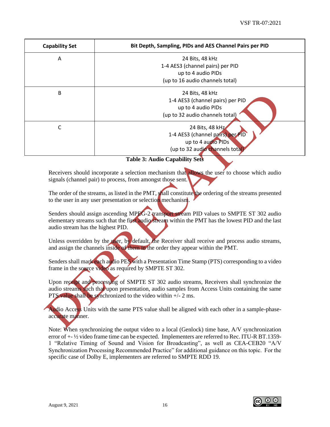| <b>Capability Set</b> | Bit Depth, Sampling, PIDs and AES Channel Pairs per PID |
|-----------------------|---------------------------------------------------------|
| A                     | 24 Bits, 48 kHz                                         |
|                       | 1-4 AES3 (channel pairs) per PID                        |
|                       | up to 4 audio PIDs                                      |
|                       | (up to 16 audio channels total)                         |
| B                     | 24 Bits, 48 kHz                                         |
|                       | 1-4 AES3 (channel pairs) per PID                        |
|                       | up to 4 audio PIDs                                      |
|                       | (up to 32 audio channels total)                         |
| C                     | 24 Bits, 48 kHz                                         |
|                       | 1-4 AES3 (channel pairs) per PID                        |
|                       | up to 4 audio PIDs                                      |
|                       | (up to 32 audio channels total)                         |

#### **Table 3: Audio Capability Sets**

Receivers should incorporate a selection mechanism that allows the user to choose which audio signals (channel pair) to process, from amongst those sent.

The order of the streams, as listed in the PMT, shall constitute the ordering of the streams presented to the user in any user presentation or selection mechanism.

Senders should assign ascending MPEG-2 transport stream PID values to SMPTE ST 302 audio elementary streams such that the first audio stream within the PMT has the lowest PID and the last audio stream has the highest PID.

Unless overridden by the user, by default, the Receiver shall receive and process audio streams, and assign the channels inside of them in the order they appear within the PMT.

Senders shall mark each audio PES with a Presentation Time Stamp (PTS) corresponding to a video frame in the source video as required by SMPTE ST 302.

Upon receipt and processing of SMPTE ST 302 audio streams, Receivers shall synchronize the audio streams such that upon presentation, audio samples from Access Units containing the same PTS value shall be synchronized to the video within  $+/- 2$  ms.

Audio Access Units with the same PTS value shall be aligned with each other in a sample-phaseaccurate manner.

Note: When synchronizing the output video to a local (Genlock) time base, A/V synchronization error of +- ½ video frame time can be expected. Implementers are referred to Rec. ITU-R BT.1359- 1 "Relative Timing of Sound and Vision for Broadcasting", as well as CEA-CEB20 "A/V Synchronization Processing Recommended Practice" for additional guidance on this topic. For the specific case of Dolby E, implementers are referred to SMPTE RDD 19.

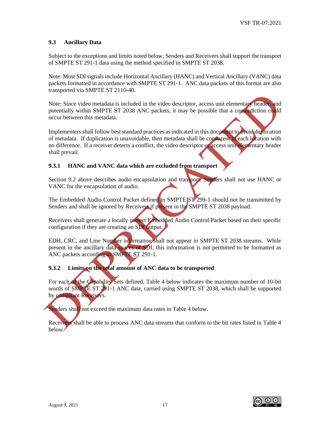#### <span id="page-17-0"></span>**9.3 Ancillary Data**

Subject to the exceptions and limits noted below, Senders and Receivers shall support the transport of SMPTE ST 291-1 data using the method specified in SMPTE ST 2038.

Note: Most SDI signals include Horizontal Ancillary (HANC) and Vertical Ancillary (VANC) data packets formatted in accordance with SMPTE ST 291-1. ANC data packets of this format are also transported via SMPTE ST 2110-40.

Note: Since video metadata is included in the video descriptor, access unit elementary header, and potentially within SMPTE ST 2038 ANC packets, it may be possible that a contradiction could occur between this metadata.

Implementers shall follow best standard practices as indicated in this document to avoid duplication of metadata. If duplication is unavoidable, then metadata shall be consistent in each location with no difference. If a receiver detects a conflict, the video descriptor or access unit elementary header shall prevail.

#### <span id="page-17-1"></span>**9.3.1 HANC and VANC data which are excluded from transport**

Section 9.2 above describes audio encapsulation and transport. Senders shall not use HANC or VANC for the encapsulation of audio.

The Embedded Audio Control Packet defined in SMPTE ST 299-1 should not be transmitted by Senders and shall be ignored by Receivers if present in the SMPTE ST 2038 payload.

Receivers shall generate a locally correct Embedded Audio Control Packet based on their specific configuration if they are creating an SDI output.

EDH, CRC, and Line Number information shall not appear in SMPTE ST 2038 streams. While present in the ancillary data spaces of SDI, this information is not permitted to be formatted as ANC packets according to SMPTE ST 291-1.

#### <span id="page-17-2"></span>**9.3.2 Limits on the total amount of ANC data to be transported**

For each of the Capability Sets defined, Table 4 below indicates the maximum number of 10-bit words of SMPTE ST 291-1 ANC data, carried using SMPTE ST 2038, which shall be supported by compliant Receivers.

Senders shall not exceed the maximum data rates in Table 4 below.

Receivers shall be able to process ANC data streams that conform to the bit rates listed in Table 4 below.



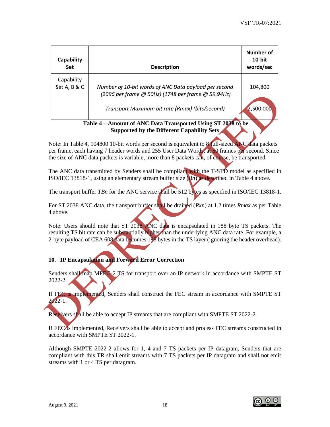| <b>Capability</b><br><b>Set</b> | <b>Description</b>                                                                                          | Number of<br>$10$ -bit<br>words/sec |
|---------------------------------|-------------------------------------------------------------------------------------------------------------|-------------------------------------|
| Capability<br>Set A, B & C      | Number of 10-bit words of ANC Data payload per second<br>(2096 per frame @ 50Hz) (1748 per frame @ 59.94Hz) | 104,800                             |
|                                 | Transport Maximum bit rate (Rmax) (bits/second)                                                             | 2,500,000                           |

#### **Table 4 – Amount of ANC Data Transported Using ST 2038 to be Supported by the Different Capability Sets**

Note: In Table 4, 104800 10-bit words per second is equivalent to 8 full-sized ANC data packets per frame, each having 7 header words and 255 User Data Words, at 50 frames per second. Since the size of ANC data packets is variable, more than 8 packets can, of course, be transported.

The ANC data transmitted by Senders shall be compliant with the T-STD model as specified in ISO/IEC 13818-1, using an elementary stream buffer size (*Bn*) as described in Table 4 above.

The transport buffer *TBn* for the ANC service shall be 512 bytes as specified in ISO/IEC 13818-1.

For ST 2038 ANC data, the transport buffer shall be drained (*Rxn*) at 1.2 times *Rmax* as per Table 4 above.

Note: Users should note that ST 2038 ANC data is encapsulated in 188 byte TS packets. The resulting TS bit rate can be substantially higher than the underlying ANC data rate. For example, a 2-byte payload of CEA 608 data becomes 188 bytes in the TS layer (ignoring the header overhead).

# <span id="page-18-0"></span>**10. IP Encapsulation and Forward Error Correction**

Senders shall map MPEG-2 TS for transport over an IP network in accordance with SMPTE ST 2022-2.

If FEC is implemented, Senders shall construct the FEC stream in accordance with SMPTE ST 2022-1.

Receivers shall be able to accept IP streams that are compliant with SMPTE ST 2022-2.

If FEC is implemented, Receivers shall be able to accept and process FEC streams constructed in accordance with SMPTE ST 2022-1.

Although SMPTE 2022-2 allows for 1, 4 and 7 TS packets per IP datagram, Senders that are compliant with this TR shall emit streams with 7 TS packets per IP datagram and shall not emit streams with 1 or 4 TS per datagram.

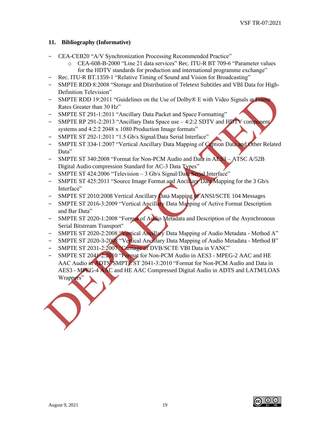## <span id="page-19-0"></span>**11. Bibliography (Informative)**

- − CEA-CEB20 "A/V Synchronization Processing Recommended Practice"
	- o CEA-608-B-2000 "Line 21 data services" Rec. ITU-R BT 709-6 "Parameter values for the HDTV standards for production and international programme exchange"
- − Rec. ITU-R BT.1359-1 "Relative Timing of Sound and Vision for Broadcasting"
- − SMPTE RDD 8:2008 "Storage and Distribution of Teletext Subtitles and VBI Data for High-Definition Television"
- − SMPTE RDD 19:2011 "Guidelines on the Use of Dolby® E with Video Signals at Frame Rates Greater than 30 Hz"
- SMPTE ST 291-1:2011 "Ancillary Data Packet and Space Formatting"
- − SMPTE RP 291-2:2013 "Ancillary Data Space use 4:2:2 SDTV and HDTV component systems and 4:2:2 2048 x 1080 Production Image formats"
- − SMPTE ST 292-1:2011 "1.5 Gb/s Signal/Data Serial Interface"
- − SMPTE ST 334-1:2007 "Vertical Ancillary Data Mapping of Caption Data and Other Related Data"
- − SMPTE ST 340:2008 "Format for Non-PCM Audio and Data in AES3 ATSC A/52B Digital Audio compression Standard for AC-3 Data Types"
- − SMPTE ST 424:2006 "Television 3 Gb/s Signal/Data Serial Interface"
- − SMPTE ST 425:2011 "Source Image Format and Ancillary Data Mapping for the 3 Gb/s Interface"
- − SMPTE ST 2010:2008 Vertical Ancillary Data Mapping of ANSI/SCTE 104 Messages
- − SMPTE ST 2016-3:2009 "Vertical Ancillary Data Mapping of Active Format Description and Bar Data"
- − SMPTE ST 2020-1:2008 "Format of Audio Metadata and Description of the Asynchronous Serial Bitstream Transport"
- − SMPTE ST 2020-2:2008 "Vertical Ancillary Data Mapping of Audio Metadata Method A"
- − SMPTE ST 2020-3-2008 "Vertical Ancillary Data Mapping of Audio Metadata Method B"
- SMPTE ST 2031-2:2007 "Carriage of DVB/SCTE VBI Data in VANC"
- SMPTE ST 2041-2:2010 "Format for Non-PCM Audio in AES3 MPEG-2 AAC and HE AAC Audio in ADTS"SMPTE ST 2041-3:2010 "Format for Non-PCM Audio and Data in AES3 - MPEG-4 AAC and HE AAC Compressed Digital Audio in ADTS and LATM/LOAS Wrappers"



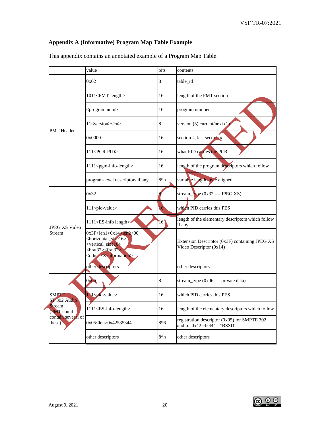# <span id="page-20-0"></span>**Appendix A (Informative) Program Map Table Example**

|                                     | value                                                                                                                                                                                                                                 | bits  | contents                                                                  |
|-------------------------------------|---------------------------------------------------------------------------------------------------------------------------------------------------------------------------------------------------------------------------------------|-------|---------------------------------------------------------------------------|
|                                     | 0x02                                                                                                                                                                                                                                  | 8     | table_id                                                                  |
|                                     | 1011 <pmt-length></pmt-length>                                                                                                                                                                                                        | 16    | length of the PMT section                                                 |
|                                     | <program num=""></program>                                                                                                                                                                                                            | 16    | program number                                                            |
| <b>PMT</b> Header                   | 11 <version><cn></cn></version>                                                                                                                                                                                                       | 8     | version $(5)$ current/next $(1)$                                          |
|                                     | 0x0000                                                                                                                                                                                                                                | 16    | section #, last section #                                                 |
|                                     | 111 <pcr-pid></pcr-pid>                                                                                                                                                                                                               | 16    | what PID carries the PCR                                                  |
|                                     | 1111 <pgm-info-length></pgm-info-length>                                                                                                                                                                                              | 16    | length of the program descriptors which follow                            |
|                                     | program-level descriptors if any                                                                                                                                                                                                      | $8*n$ | variable length, byte aligned                                             |
|                                     | 0x32                                                                                                                                                                                                                                  |       | stream_type $(0x32 == JPEGXS)$                                            |
|                                     | 111 <pid-value></pid-value>                                                                                                                                                                                                           | 16    | which PID carries this PES                                                |
| <b>JPEG XS Video</b>                | 1111 <es-info length=""></es-info>                                                                                                                                                                                                    | 16    | length of the elementary descriptors which follow<br>if any               |
| Stream                              | $0x3F<$ len $1>0x14<$ len $2>00$<br><horizontal_size16><br/><vertical size16=""><br/><math>\frac{1}{2}</math> <br/><math>\frac{1}{2}</math> <frat32><br/><other es="" information=""></other></frat32></vertical></horizontal_size16> |       | Extension Descriptor (0x3F) containing JPEG XS<br>Video Descriptor (0x14) |
|                                     | other descriptors                                                                                                                                                                                                                     |       | other descriptors                                                         |
|                                     | 0x06                                                                                                                                                                                                                                  | 8     | stream_type $(0x06 == private data)$                                      |
| <b>SMPTE</b><br><b>ST 302 Audio</b> | 11 <pid-value></pid-value>                                                                                                                                                                                                            | 16    | which PID carries this PES                                                |
| Stream<br>(PMT could                | 1111 <es-info-length></es-info-length>                                                                                                                                                                                                | 16    | length of the elementary descriptors which follow                         |
| contain several of<br>these)        | 0x05 <len>0x42535344</len>                                                                                                                                                                                                            | $8*6$ | registration descriptor (0x05) for SMPTE 302<br>audio. 0x42535344 ="BSSD" |
|                                     | other descriptors                                                                                                                                                                                                                     | $8*n$ | other descriptors                                                         |

This appendix contains an annotated example of a Program Map Table.

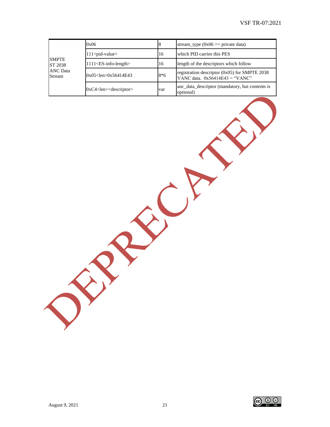|                           | 0x06                                   |       | stream_type $(0x06 ==$ private data)                                                |
|---------------------------|----------------------------------------|-------|-------------------------------------------------------------------------------------|
|                           | $111$ $<$ pid-value $>$                | 16    | which PID carries this PES                                                          |
| <b>SMPTE</b><br>ST 2038   | 1111 <es-info-length></es-info-length> | 16    | length of the descriptors which follow                                              |
| <b>ANC</b> Data<br>Stream | $0x05$ < len > 0x56414E43              | $8*6$ | registration descriptor $(0x05)$ for SMPTE 2038<br>VANC data. $0x56414E43 = "VANC"$ |
|                           | $0xC4$ < len $>$ descriptor            | var   | anc_data_descriptor (mandatory, but contents is<br>optional)                        |

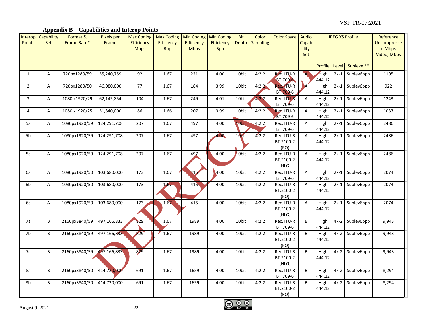## **Appendix B – Capabilities and Interop Points**

<span id="page-22-0"></span>

| Interop<br><b>Points</b> | Capability<br>Set | Format &<br>Frame Rate* | <b>Pixels per</b><br>Frame | <b>Max Coding</b><br><b>Efficiency</b><br><b>Mbps</b> | <b>Max Coding</b><br><b>Efficiency</b><br><b>Bpp</b> | <b>Min Coding</b><br>Efficiency<br><b>Mbps</b> | <b>Min Coding</b><br>Efficiency<br><b>Bpp</b> | <b>Bit</b><br><b>Depth</b> | Color<br><b>Sampling</b> | <b>Color Space</b>               | Audio<br>Capab<br>ility<br>Set | <b>JPEG XS Profile</b> |        |                 | Reference<br><b>Uncompresse</b><br>d Mbps<br>Video, Mbps |
|--------------------------|-------------------|-------------------------|----------------------------|-------------------------------------------------------|------------------------------------------------------|------------------------------------------------|-----------------------------------------------|----------------------------|--------------------------|----------------------------------|--------------------------------|------------------------|--------|-----------------|----------------------------------------------------------|
|                          |                   |                         |                            |                                                       |                                                      |                                                |                                               |                            |                          |                                  |                                | Profile                | Level  | Sublevel**      |                                                          |
| $\mathbf{1}$             | $\mathsf{A}$      | 720px1280/59            | 55,240,759                 | 92                                                    | 1.67                                                 | 221                                            | 4.00                                          | 10bit                      | 4:2:2                    | Rec. ITU-R<br>BT.709-6           |                                | High<br>444.12         | $2k-1$ | Sublev6bpp      | 1105                                                     |
| $\overline{2}$           | A                 | 720px1280/50            | 46,080,000                 | 77                                                    | 1.67                                                 | 184                                            | 3.99                                          | $10$ bit                   | 4:2:2                    | Red TU-R<br>BT.709-6             | ۱A                             | High<br>444.12         |        | 2k-1 Sublev6bpp | 922                                                      |
| 3                        | A                 | 1080ix1920/29           | 62,145,854                 | 104                                                   | 1.67                                                 | 249                                            | 4.01                                          | 10bit                      | 4:2:2                    | Rec. ITU-R<br>BT.709-6           | A                              | High<br>444.12         | $2k-1$ | Sublev6bpp      | 1243                                                     |
| 4                        | A                 | 1080ix1920/25           | 51,840,000                 | 86                                                    | 1.66                                                 | 207                                            | 3.99                                          | 10bit                      | 4:2:2                    | Rec. ITU-R<br>BT.709-6           | A                              | High<br>444.12         |        | 2k-1 Sublev6bpp | 1037                                                     |
| 5a                       | A                 | 1080px1920/59           | 124,291,708                | 207                                                   | 1.67                                                 | 497                                            | 4.00                                          | 10bit                      | 4:2:2                    | Rec. ITU-R<br>BT.709-6           | А                              | High<br>444.12         |        | 2k-1 Sublev6bpp | 2486                                                     |
| 5b                       | A                 | 1080px1920/59           | 124,291,708                | 207                                                   | 1.67                                                 | 497                                            | 4.00                                          | 10bit                      | 4:2:2                    | Rec. ITU-R<br>BT.2100-2<br>(PQ)  | A                              | High<br>444.12         |        | 2k-1 Sublev6bpp | 2486                                                     |
| 5c                       | A                 | 1080px1920/59           | 124,291,708                | 207                                                   | 1.67                                                 | 497                                            | 4.00                                          | 10bit                      | 4:2:2                    | Rec. ITU-R<br>BT.2100-2<br>(HLG) | A                              | High<br>444.12         |        | 2k-1 Sublev6bpp | 2486                                                     |
| 6a                       | A                 | 1080px1920/50           | 103,680,000                | 173                                                   | 1.67                                                 | 415                                            | 4.00                                          | 10bit                      | 4:2:2                    | Rec. ITU-R<br>BT.709-6           | А                              | High<br>444.12         |        | 2k-1 Sublev6bpp | 2074                                                     |
| 6b                       | A                 | 1080px1920/50           | 103,680,000                | 173                                                   | 1.67                                                 | 415                                            | 4.00                                          | 10bit                      | 4:2:2                    | Rec. ITU-R<br>BT.2100-2<br>(PQ)  | A                              | High<br>444.12         |        | 2k-1 Sublev6bpp | 2074                                                     |
| 6c                       | A                 | 1080px1920/50           | 103,680,000                | 173                                                   | 1.67                                                 | 415                                            | 4.00                                          | 10bit                      | 4:2:2                    | Rec. ITU-R<br>BT.2100-2<br>(HLG) | A                              | High<br>444.12         |        | 2k-1 Sublev6bpp | 2074                                                     |
| 7a                       | B                 | 2160px3840/59           | 497,166,833                | 829                                                   | 1.67                                                 | 1989                                           | 4.00                                          | 10bit                      | 4:2:2                    | Rec. ITU-R<br>BT.709-6           | B                              | High<br>444.12         |        | 4k-2 Sublev6bpp | 9,943                                                    |
| 7 <sub>b</sub>           | B                 | 2160px3840/59           | 497,166,833                | 829                                                   | 1.67                                                 | 1989                                           | 4.00                                          | 10bit                      | 4:2:2                    | Rec. ITU-R<br>BT.2100-2<br>(PQ)  | B                              | High<br>444.12         | 4k-2   | Sublev6bpp      | 9,943                                                    |
| 7c                       | В                 | 2160px3840/59           | 497,166,833                | 829                                                   | 1.67                                                 | 1989                                           | 4.00                                          | 10bit                      | 4:2:2                    | Rec. ITU-R<br>BT.2100-2<br>(HLG) | B                              | High<br>444.12         |        | 4k-2 Sublev6bpp | 9,943                                                    |
| 8a                       | B                 | 2160px3840/50           | 414,720,000                | 691                                                   | 1.67                                                 | 1659                                           | 4.00                                          | 10bit                      | 4:2:2                    | Rec. ITU-R<br>BT.709-6           | B                              | High<br>444.12         |        | 4k-2 Sublev6bpp | 8,294                                                    |
| 8b                       | B                 | 2160px3840/50           | 414,720,000                | 691                                                   | 1.67                                                 | 1659                                           | 4.00                                          | 10bit                      | 4:2:2                    | Rec. ITU-R<br>BT.2100-2<br>(PQ)  | B                              | High<br>444.12         | $4k-2$ | Sublev6bpp      | 8,294                                                    |